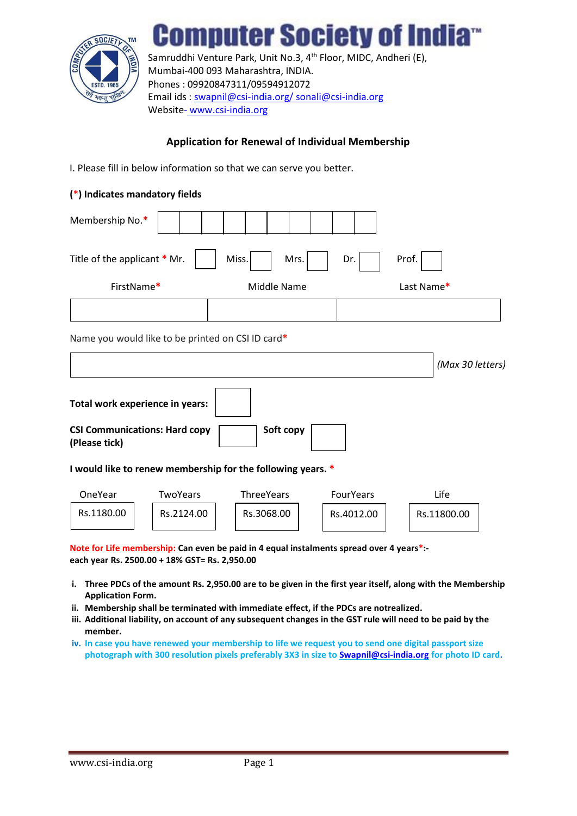

# **omputer Society of India**rd

Samruddhi Venture Park, Unit No.3, 4<sup>th</sup> Floor, MIDC, Andheri (E), Mumbai-400 093 Maharashtra, INDIA. Phones : 09920847311/09594912072 Email ids : [swapnil@csi-india.org/](mailto:swapnil@csi-india.org/) [sonali@csi-india.org](mailto:sonali@csi-india.org) Website-www.csi-india.org

### **Application for Renewal of Individual Membership**

I. Please fill in below information so that we can serve you better.

#### **(\*) Indicates mandatory fields**

| Membership No.*                                                                                                                                         |               |                  |
|---------------------------------------------------------------------------------------------------------------------------------------------------------|---------------|------------------|
| Title of the applicant * Mr.                                                                                                                            | Miss.<br>Mrs. | Prof.<br>Dr.     |
| FirstName*                                                                                                                                              | Middle Name   | Last Name*       |
|                                                                                                                                                         |               |                  |
| Name you would like to be printed on CSI ID card*                                                                                                       |               |                  |
|                                                                                                                                                         |               | (Max 30 letters) |
| Total work experience in years:<br><b>CSI Communications: Hard copy</b><br>(Please tick)<br>I would like to renew membership for the following years. * | Soft copy     |                  |

| OneYear    | TwoYears   | ThreeYears | <b>FourYears</b> | Life        |
|------------|------------|------------|------------------|-------------|
| Rs.1180.00 | Rs.2124.00 | Rs.3068.00 | Rs.4012.00       | Rs.11800.00 |

**Note for Life membership: Can even be paid in 4 equal instalments spread over 4 years\*: each year Rs. 2500.00 + 18% GST= Rs. 2,950.00**

- **i. Three PDCs of the amount Rs. 2,950.00 are to be given in the first year itself, along with the Membership Application Form.**
- **ii. Membership shall be terminated with immediate effect, if the PDCs are notrealized.**
- **iii. Additional liability, on account of any subsequent changes in the GST rule will need to be paid by the member.**
- **iv. In case you have renewed your membership to life we request you to send one digital passport size photograph with 300 resolution pixels preferably 3X3 in size t[o Swapnil@csi-india.org](mailto:Swapnil@gmail.com) for photo ID card.**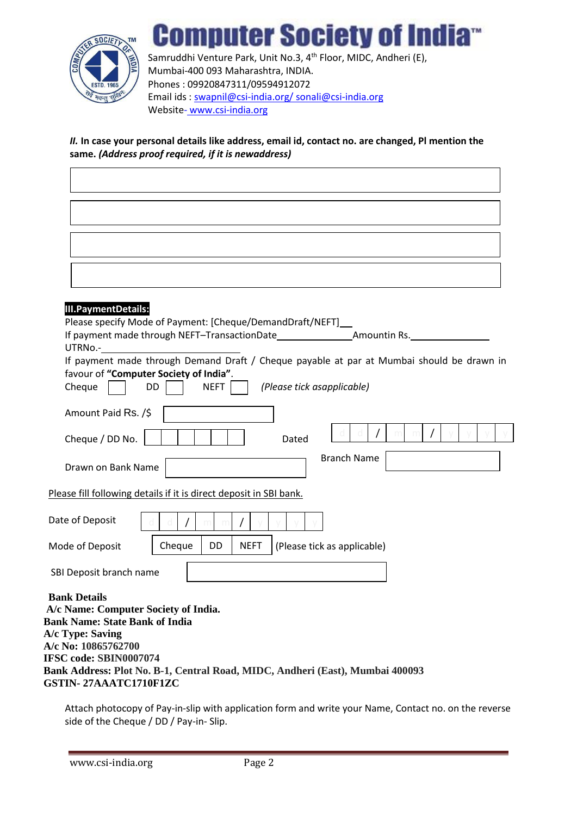

**Computer Society of India** Samruddhi Venture Park, Unit No.3, 4<sup>th</sup> Floor, MIDC, Andheri (E), Mumbai-400 093 Maharashtra, INDIA. Phones : 09920847311/09594912072 Email ids : [swapnil@csi-india.org/](mailto:swapnil@csi-india.org/) [sonali@csi-india.org](mailto:sonali@csi-india.org) Website-www.csi-india.org

#### *II.* **In case your personal details like address, email id, contact no. are changed, Pl mention the same.** *(Address proof required, if it is newaddress)*

| <b>III.PaymentDetails:</b><br>Please specify Mode of Payment: [Cheque/DemandDraft/NEFT]                                                                                                                                                                                             |
|-------------------------------------------------------------------------------------------------------------------------------------------------------------------------------------------------------------------------------------------------------------------------------------|
| If payment made through NEFT-TransactionDate ___________________________________<br>UTRNo.-                                                                                                                                                                                         |
| If payment made through Demand Draft / Cheque payable at par at Mumbai should be drawn in<br>favour of "Computer Society of India".<br><b>DD</b><br><b>NEFT</b><br>(Please tick asapplicable)<br>Cheque                                                                             |
| Amount Paid Rs. /\$                                                                                                                                                                                                                                                                 |
| Cheque / DD No.<br>Dated                                                                                                                                                                                                                                                            |
| <b>Branch Name</b><br>Drawn on Bank Name                                                                                                                                                                                                                                            |
| Please fill following details if it is direct deposit in SBI bank.                                                                                                                                                                                                                  |
| Date of Deposit                                                                                                                                                                                                                                                                     |
| DD<br>Cheque<br><b>NEFT</b><br>(Please tick as applicable)<br>Mode of Deposit                                                                                                                                                                                                       |
| SBI Deposit branch name                                                                                                                                                                                                                                                             |
| <b>Bank Details</b><br>A/c Name: Computer Society of India.<br><b>Bank Name: State Bank of India</b><br>A/c Type: Saving<br>A/c No: 10865762700<br>IFSC code: SBIN0007074<br>Bank Address: Plot No. B-1, Central Road, MIDC, Andheri (East), Mumbai 400093<br>GSTIN-27AAATC1710F1ZC |

Attach photocopy of Pay-in-slip with application form and write your Name, Contact no. on the reverse side of the Cheque / DD / Pay-in- Slip.